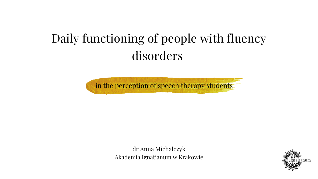# Daily functioning of people with fluency disorders

dr Anna Michalczyk Akademia Ignatianum w Krakowie





in the perception of speech therapy students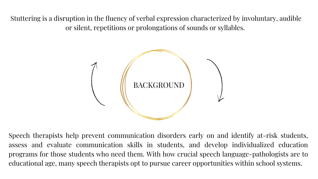

Stuttering is a disruption in the fluency of verbal expression characterized by involuntary, audible or silent, repetitions or prolongations of sounds or syllables.

Speech therapists help prevent communication disorders early on and identify at-risk students, assess and evaluate communication skills in students, and develop individualized education programs for those students who need them. With how crucial speech language-pathologists are to educational age, many speech therapists opt to pursue career opportunities within school systems.

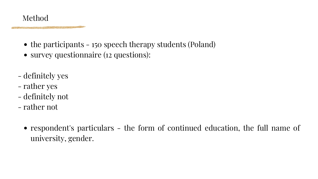- the participants 150 speech therapy students (Poland)
- survey questionnaire (12 questions):
- definitely yes
- rather yes
- definitely not
- rather not
	- [respondent's](https://pl.bab.la/slownik/angielski-polski/respondent-s-particulars) particulars the form of continued education, the full name of university, gender.

#### Method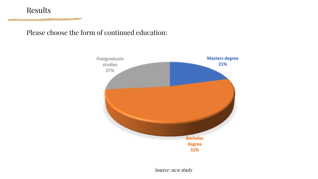#### Please choose the form of continued education:

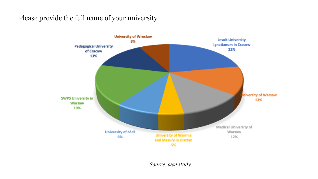#### Please provide the full name of your university



*Source: own study*

**Jesuit University Ignatianum in Cracow** 22%

> **University of Warsaw** 13%

Medical University of Warsaw 12%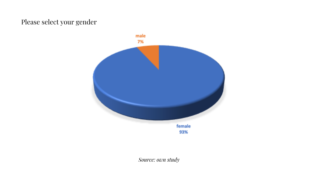#### Please select your gender

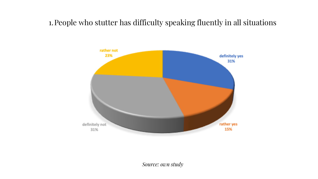# 1.People who stutter has difficulty speaking fluently in all situations

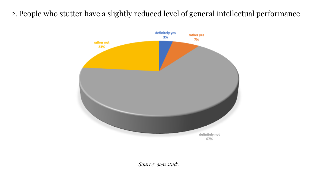## 2. People who stutter have a slightly reduced level of general intellectual performance



*Source: own study*

67%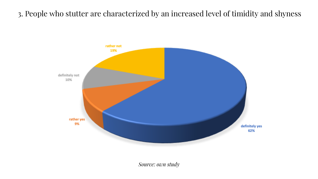## 3. People who stutter are characterized by an increased level of timidity and shyness



*Source: own study*

definitely yes 62%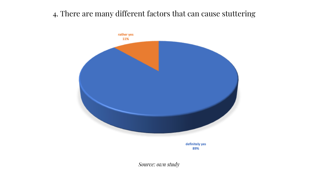### 4. There are many different factors that can cause stuttering



definitely yes 89%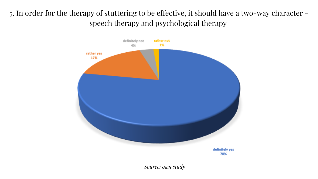# 5. In order for the therapy of stuttering to be effective, it should have a two-way character speech therapy and psychological therapy



*Source: own study*

definitely yes 78%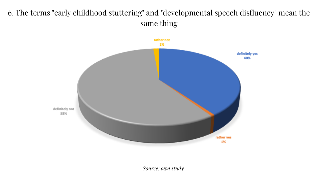# 6. The terms "early childhood stuttering" and "developmental speech disfluency" mean the same thing

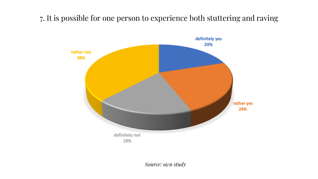### 7. It is possible for one person to experience both stuttering and raving

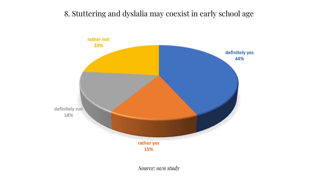### 8. Stuttering and dyslalia may coexist in early school age

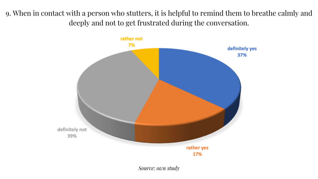### 9. When in contact with a person who stutters, it is helpful to remind them to breathe calmly and deeply and not to get frustrated during the conversation.

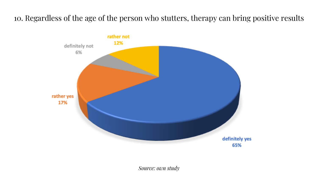### 10. Regardless of the age of the person who stutters, therapy can bring positive results



*Source: own study*

definitely yes 65%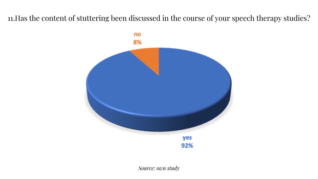### 11.Has the content of stuttering been discussed in the course of your speech therapy studies?

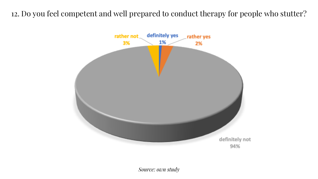# 12. Do you feel competent and well prepared to conduct therapy for people who stutter?



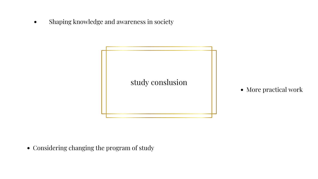

Shaping knowledge and awareness in society  $\bullet$ 

• Considering changing the program of study

#### • More practical work